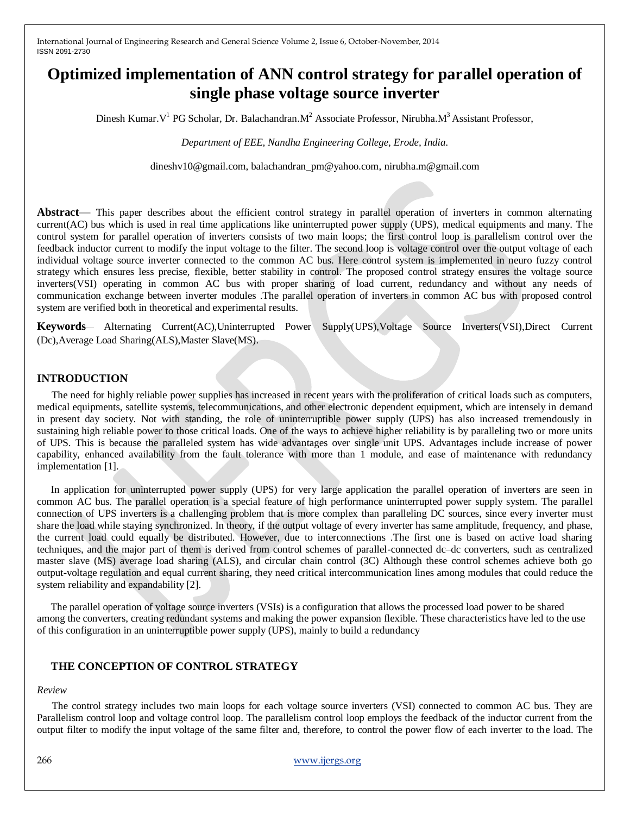# **Optimized implementation of ANN control strategy for parallel operation of single phase voltage source inverter**

Dinesh Kumar. V<sup>1</sup> PG Scholar, Dr. Balachandran. M<sup>2</sup> Associate Professor, Nirubha. M<sup>3</sup> Assistant Professor,

*Department of EEE, Nandha Engineering College, Erode, India.*

dineshv10@gmail.com, balachandran\_pm@yahoo.com, nirubha.m@gmail.com

**Abstract**— This paper describes about the efficient control strategy in parallel operation of inverters in common alternating current(AC) bus which is used in real time applications like uninterrupted power supply (UPS), medical equipments and many. The control system for parallel operation of inverters consists of two main loops; the first control loop is parallelism control over the feedback inductor current to modify the input voltage to the filter. The second loop is voltage control over the output voltage of each individual voltage source inverter connected to the common AC bus. Here control system is implemented in neuro fuzzy control strategy which ensures less precise, flexible, better stability in control. The proposed control strategy ensures the voltage source inverters(VSI) operating in common AC bus with proper sharing of load current, redundancy and without any needs of communication exchange between inverter modules .The parallel operation of inverters in common AC bus with proposed control system are verified both in theoretical and experimental results.

**Keywords**— Alternating Current(AC),Uninterrupted Power Supply(UPS),Voltage Source Inverters(VSI),Direct Current (Dc),Average Load Sharing(ALS),Master Slave(MS).

## **INTRODUCTION**

The need for highly reliable power supplies has increased in recent years with the proliferation of critical loads such as computers, medical equipments, satellite systems, telecommunications, and other electronic dependent equipment, which are intensely in demand in present day society. Not with standing, the role of uninterruptible power supply (UPS) has also increased tremendously in sustaining high reliable power to those critical loads. One of the ways to achieve higher reliability is by paralleling two or more units of UPS. This is because the paralleled system has wide advantages over single unit UPS. Advantages include increase of power capability, enhanced availability from the fault tolerance with more than 1 module, and ease of maintenance with redundancy implementation [1].

In application for uninterrupted power supply (UPS) for very large application the parallel operation of inverters are seen in common AC bus. The parallel operation is a special feature of high performance uninterrupted power supply system. The parallel connection of UPS inverters is a challenging problem that is more complex than paralleling DC sources, since every inverter must share the load while staying synchronized. In theory, if the output voltage of every inverter has same amplitude, frequency, and phase, the current load could equally be distributed. However, due to interconnections .The first one is based on active load sharing techniques, and the major part of them is derived from control schemes of parallel-connected dc–dc converters, such as centralized master slave (MS) average load sharing (ALS), and circular chain control (3C) Although these control schemes achieve both go output-voltage regulation and equal current sharing, they need critical intercommunication lines among modules that could reduce the system reliability and expandability [2].

The parallel operation of voltage source inverters (VSIs) is a configuration that allows the processed load power to be shared among the converters, creating redundant systems and making the power expansion flexible. These characteristics have led to the use of this configuration in an uninterruptible power supply (UPS), mainly to build a redundancy

## **THE CONCEPTION OF CONTROL STRATEGY**

#### *Review*

The control strategy includes two main loops for each voltage source inverters (VSI) connected to common AC bus. They are Parallelism control loop and voltage control loop. The parallelism control loop employs the feedback of the inductor current from the output filter to modify the input voltage of the same filter and, therefore, to control the power flow of each inverter to the load. The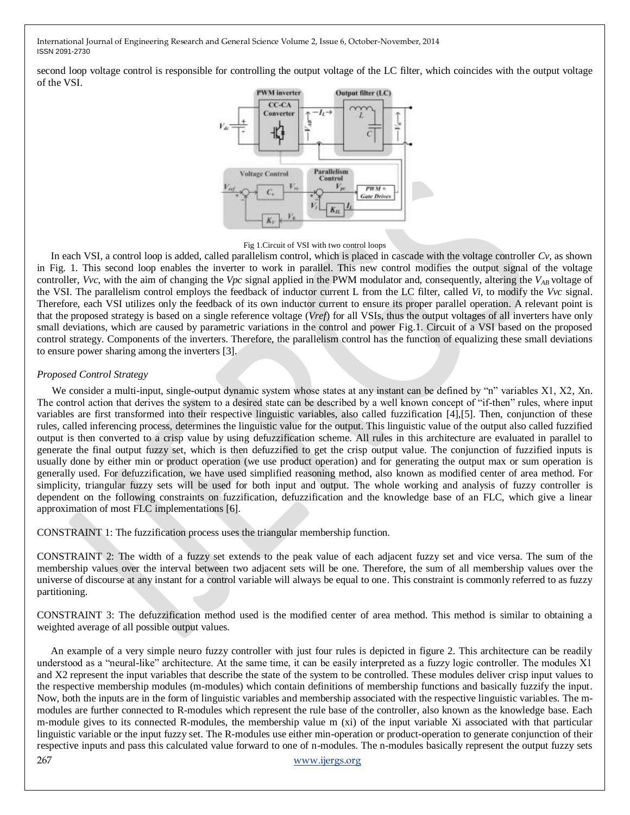second loop voltage control is responsible for controlling the output voltage of the LC filter, which coincides with the output voltage of the VSI.



#### Fig 1.Circuit of VSI with two control loops

In each VSI, a control loop is added, called parallelism control, which is placed in cascade with the voltage controller *Cv*, as shown in Fig. 1. This second loop enables the inverter to work in parallel. This new control modifies the output signal of the voltage controller, *Vvc*, with the aim of changing the *Vpc* signal applied in the PWM modulator and, consequently, altering the *VAB* voltage of the VSI. The parallelism control employs the feedback of inductor current L from the LC filter, called *Vi*, to modify the *Vvc* signal. Therefore, each VSI utilizes only the feedback of its own inductor current to ensure its proper parallel operation. A relevant point is that the proposed strategy is based on a single reference voltage (*Vref*) for all VSIs, thus the output voltages of all inverters have only small deviations, which are caused by parametric variations in the control and power Fig.1. Circuit of a VSI based on the proposed control strategy. Components of the inverters. Therefore, the parallelism control has the function of equalizing these small deviations to ensure power sharing among the inverters [3].

#### *Proposed Control Strategy*

We consider a multi-input, single-output dynamic system whose states at any instant can be defined by "n" variables X1, X2, Xn. The control action that derives the system to a desired state can be described by a well known concept of "if-then" rules, where input variables are first transformed into their respective linguistic variables, also called fuzzification [4],[5]. Then, conjunction of these rules, called inferencing process, determines the linguistic value for the output. This linguistic value of the output also called fuzzified output is then converted to a crisp value by using defuzzification scheme. All rules in this architecture are evaluated in parallel to generate the final output fuzzy set, which is then defuzzified to get the crisp output value. The conjunction of fuzzified inputs is usually done by either min or product operation (we use product operation) and for generating the output max or sum operation is generally used. For defuzzification, we have used simplified reasoning method, also known as modified center of area method. For simplicity, triangular fuzzy sets will be used for both input and output. The whole working and analysis of fuzzy controller is dependent on the following constraints on fuzzification, defuzzification and the knowledge base of an FLC, which give a linear approximation of most FLC implementations [6].

CONSTRAINT 1: The fuzzification process uses the triangular membership function.

CONSTRAINT 2: The width of a fuzzy set extends to the peak value of each adjacent fuzzy set and vice versa. The sum of the membership values over the interval between two adjacent sets will be one. Therefore, the sum of all membership values over the universe of discourse at any instant for a control variable will always be equal to one. This constraint is commonly referred to as fuzzy partitioning.

CONSTRAINT 3: The defuzzification method used is the modified center of area method. This method is similar to obtaining a weighted average of all possible output values.

267 [www.ijergs.org](http://www.ijergs.org/) An example of a very simple neuro fuzzy controller with just four rules is depicted in figure 2. This architecture can be readily understood as a "neural-like" architecture. At the same time, it can be easily interpreted as a fuzzy logic controller. The modules  $X1$ and X2 represent the input variables that describe the state of the system to be controlled. These modules deliver crisp input values to the respective membership modules (m-modules) which contain definitions of membership functions and basically fuzzify the input. Now, both the inputs are in the form of linguistic variables and membership associated with the respective linguistic variables. The mmodules are further connected to R-modules which represent the rule base of the controller, also known as the knowledge base. Each m-module gives to its connected R-modules, the membership value m (xi) of the input variable Xi associated with that particular linguistic variable or the input fuzzy set. The R-modules use either min-operation or product-operation to generate conjunction of their respective inputs and pass this calculated value forward to one of n-modules. The n-modules basically represent the output fuzzy sets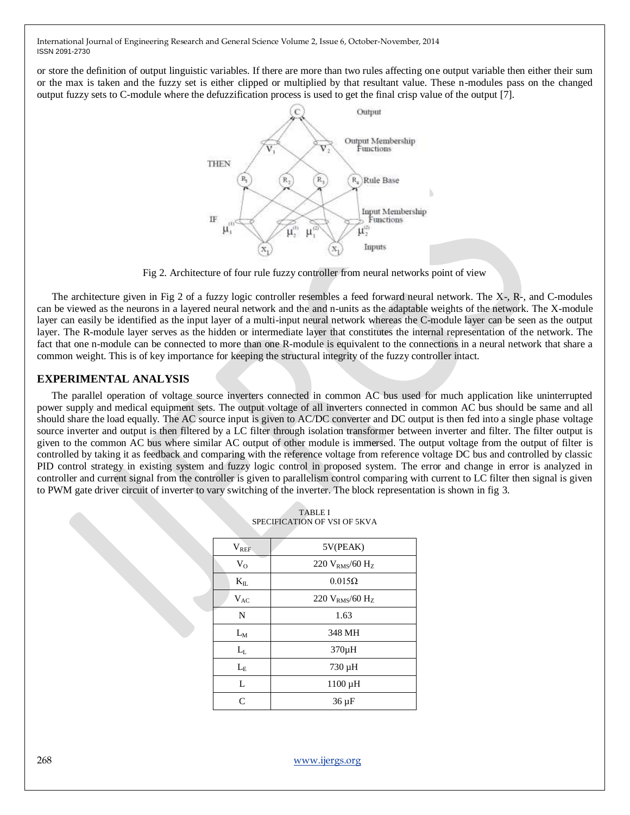or store the definition of output linguistic variables. If there are more than two rules affecting one output variable then either their sum or the max is taken and the fuzzy set is either clipped or multiplied by that resultant value. These n-modules pass on the changed output fuzzy sets to C-module where the defuzzification process is used to get the final crisp value of the output [7].



Fig 2. Architecture of four rule fuzzy controller from neural networks point of view

The architecture given in Fig 2 of a fuzzy logic controller resembles a feed forward neural network. The X-, R-, and C-modules can be viewed as the neurons in a layered neural network and the and n-units as the adaptable weights of the network. The X-module layer can easily be identified as the input layer of a multi-input neural network whereas the C-module layer can be seen as the output layer. The R-module layer serves as the hidden or intermediate layer that constitutes the internal representation of the network. The fact that one n-module can be connected to more than one R-module is equivalent to the connections in a neural network that share a common weight. This is of key importance for keeping the structural integrity of the fuzzy controller intact.

## **EXPERIMENTAL ANALYSIS**

The parallel operation of voltage source inverters connected in common AC bus used for much application like uninterrupted power supply and medical equipment sets. The output voltage of all inverters connected in common AC bus should be same and all should share the load equally. The AC source input is given to AC/DC converter and DC output is then fed into a single phase voltage source inverter and output is then filtered by a LC filter through isolation transformer between inverter and filter. The filter output is given to the common AC bus where similar AC output of other module is immersed. The output voltage from the output of filter is controlled by taking it as feedback and comparing with the reference voltage from reference voltage DC bus and controlled by classic PID control strategy in existing system and fuzzy logic control in proposed system. The error and change in error is analyzed in controller and current signal from the controller is given to parallelism control comparing with current to LC filter then signal is given to PWM gate driver circuit of inverter to vary switching of the inverter. The block representation is shown in fig 3.

| $V_{REF}$    | 5V(PEAK)                        |
|--------------|---------------------------------|
| $V_{O}$      | 220 $V_{RMS}/60$ H <sub>z</sub> |
| $K_{\rm IL}$ | $0.015\Omega$                   |
| $V_{AC}$     | 220 $V_{RMS}/60$ H <sub>Z</sub> |
| N            | 1.63                            |
| $L_M$        | 348 MH                          |
| $L_{L}$      | 370µH                           |
| $L_{E}$      | 730 µH                          |
| L            | $1100 \mu H$                    |
| $\mathsf{C}$ | $36 \mu F$                      |

| <b>TABLE I</b>               |
|------------------------------|
| SPECIFICATION OF VSI OF 5KVA |

268 [www.ijergs.org](http://www.ijergs.org/)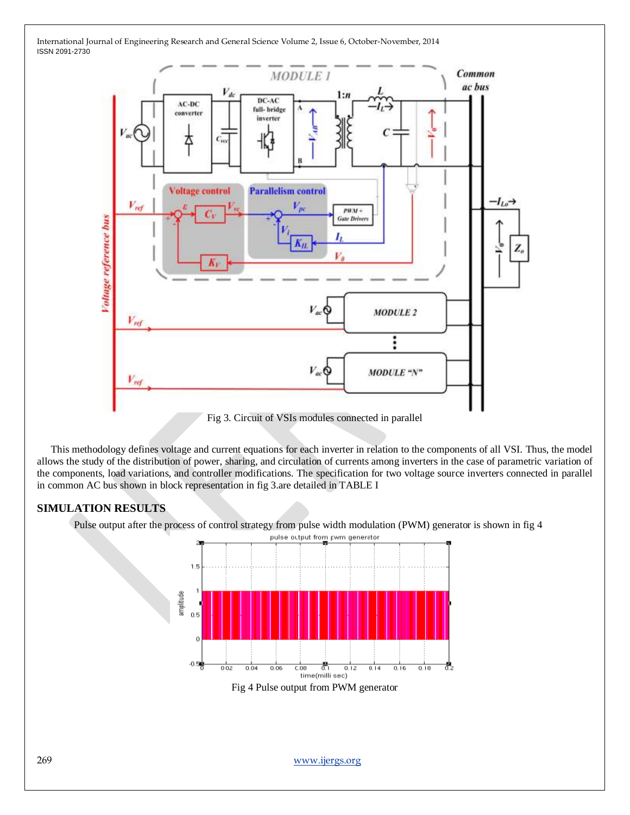

This methodology defines voltage and current equations for each inverter in relation to the components of all VSI. Thus, the model allows the study of the distribution of power, sharing, and circulation of currents among inverters in the case of parametric variation of the components, load variations, and controller modifications. The specification for two voltage source inverters connected in parallel in common AC bus shown in block representation in fig 3.are detailed in TABLE I

# **SIMULATION RESULTS**

Pulse output after the process of control strategy from pulse width modulation (PWM) generator is shown in fig 4



269 [www.ijergs.org](http://www.ijergs.org/)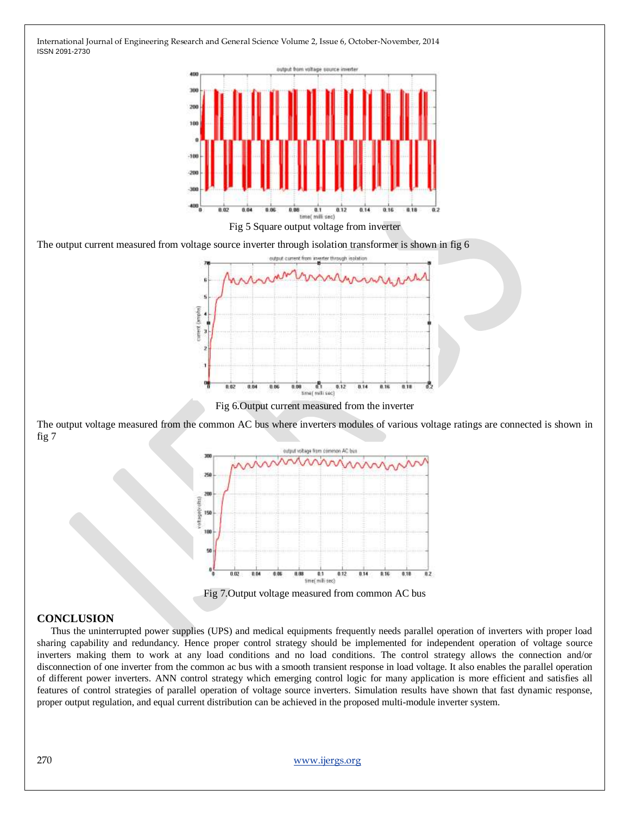

The output current measured from voltage source inverter through isolation transformer is shown in fig 6



Fig 6.Output current measured from the inverter

The output voltage measured from the common AC bus where inverters modules of various voltage ratings are connected is shown in fig 7



Fig 7.Output voltage measured from common AC bus

### **CONCLUSION**

Thus the uninterrupted power supplies (UPS) and medical equipments frequently needs parallel operation of inverters with proper load sharing capability and redundancy. Hence proper control strategy should be implemented for independent operation of voltage source inverters making them to work at any load conditions and no load conditions. The control strategy allows the connection and/or disconnection of one inverter from the common ac bus with a smooth transient response in load voltage. It also enables the parallel operation of different power inverters. ANN control strategy which emerging control logic for many application is more efficient and satisfies all features of control strategies of parallel operation of voltage source inverters. Simulation results have shown that fast dynamic response, proper output regulation, and equal current distribution can be achieved in the proposed multi-module inverter system.